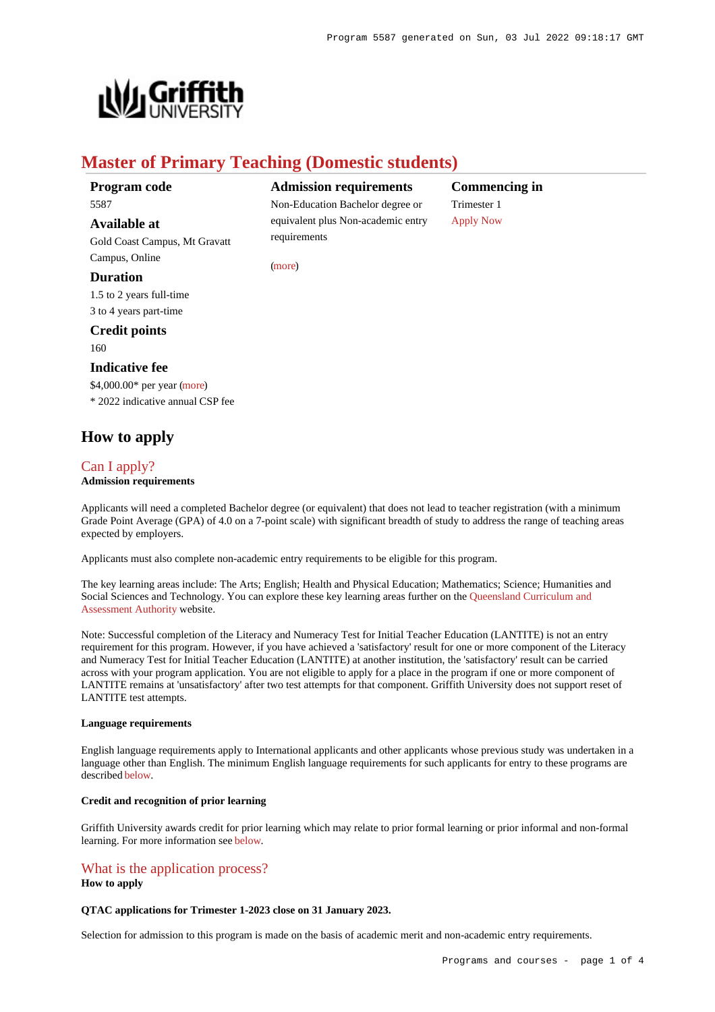

# **Master of Primary Teaching (Domestic students)**

requirements

[\(more](https://www148.griffith.edu.au/programs-courses/Program/5587/HowToApply/Domestic#can-i-apply))

### **Program code** 5587

**Available at**

Gold Coast Campus, Mt Gravatt Campus, Online

### **Duration**

1.5 to 2 years full-time 3 to 4 years part-time

# **Credit points**

160

### **Indicative fee**

\$4,000.00\* per year [\(more](https://www148.griffith.edu.au/programs-courses/Program/5587/Overview/Domestic#fees)) \* 2022 indicative annual CSP fee

# **How to apply**

## [Can I apply?](https://www148.griffith.edu.au/programs-courses/Program/5587/HowToApply/Domestic#can-i-apply)

### **Admission requirements**

Applicants will need a completed Bachelor degree (or equivalent) that does not lead to teacher registration (with a minimum Grade Point Average (GPA) of 4.0 on a 7-point scale) with significant breadth of study to address the range of teaching areas expected by employers.

Applicants must also complete non-academic entry requirements to be eligible for this program.

The key learning areas include: The Arts; English; Health and Physical Education; Mathematics; Science; Humanities and Social Sciences and Technology. You can explore these key learning areas further on the [Queensland Curriculum and](https://www.qcaa.qld.edu.au/) [Assessment Authority](https://www.qcaa.qld.edu.au/) website.

Note: Successful completion of the Literacy and Numeracy Test for Initial Teacher Education (LANTITE) is not an entry requirement for this program. However, if you have achieved a 'satisfactory' result for one or more component of the Literacy and Numeracy Test for Initial Teacher Education (LANTITE) at another institution, the 'satisfactory' result can be carried across with your program application. You are not eligible to apply for a place in the program if one or more component of LANTITE remains at 'unsatisfactory' after two test attempts for that component. Griffith University does not support reset of LANTITE test attempts.

#### **Language requirements**

English language requirements apply to International applicants and other applicants whose previous study was undertaken in a language other than English. The minimum English language requirements for such applicants for entry to these programs are described [below](https://www148.griffith.edu.au/programs-courses/Program/5587/HowToApply/Domestic#language).

### **Credit and recognition of prior learning**

Griffith University awards credit for prior learning which may relate to prior formal learning or prior informal and non-formal learning. For more information see [below](https://www148.griffith.edu.au/programs-courses/Program/5587/HowToApply/Domestic#credit).

# [What is the application process?](https://www148.griffith.edu.au/programs-courses/Program/5587/HowToApply/Domestic#process)

#### **How to apply**

#### **QTAC applications for Trimester 1-2023 close on 31 January 2023.**

Selection for admission to this program is made on the basis of academic merit and non-academic entry requirements.

## **Admission requirements** Non-Education Bachelor degree or equivalent plus Non-academic entry

**Commencing in** Trimester 1 [Apply Now](https://www148.griffith.edu.au/programs-courses/Program/5587/HowToApply/Domestic#process)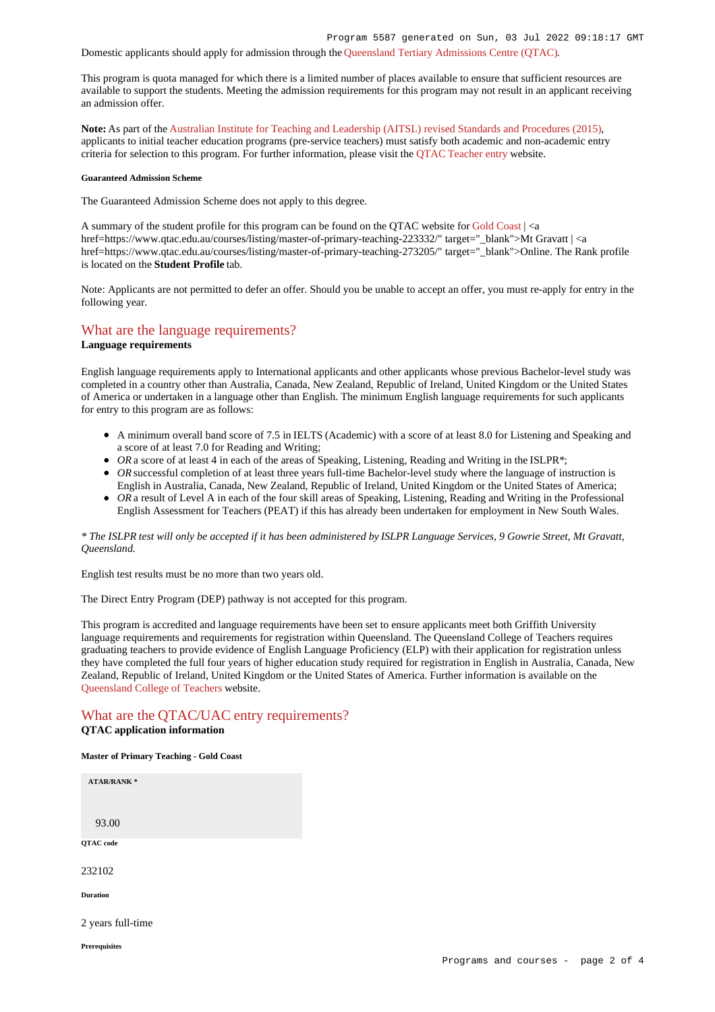#### Domestic applicants should apply for admission through the [Queensland Tertiary Admissions Centre \(QTAC\)](http://www.qtac.edu.au/).

This program is quota managed for which there is a limited number of places available to ensure that sufficient resources are available to support the students. Meeting the admission requirements for this program may not result in an applicant receiving an admission offer.

**Note:** As part of the [Australian Institute for Teaching and Leadership \(AITSL\) revised Standards and Procedures \(2015\)](https://www.aitsl.edu.au/initial-teacher-education/ite-reform/accreditation), applicants to initial teacher education programs (pre-service teachers) must satisfy both academic and non-academic entry criteria for selection to this program. For further information, please visit the [QTAC Teacher entry](http://www.qtac.edu.au/courses---institutions/teacher-entry) website.

#### **Guaranteed Admission Scheme**

The Guaranteed Admission Scheme does not apply to this degree.

A summary of the student profile for this program can be found on the OTAC website for [Gold Coast](https://www.qtac.edu.au/courses/listing/master-of-primary-teaching-232102/)  $|<$ a href=https://www.qtac.edu.au/courses/listing/master-of-primary-teaching-223332/" target="\_blank">Mt Gravatt | <a href=https://www.qtac.edu.au/courses/listing/master-of-primary-teaching-273205/" target="\_blank">Online. The Rank profile is located on the **Student Profile** tab.

Note: Applicants are not permitted to defer an offer. Should you be unable to accept an offer, you must re-apply for entry in the following year.

### [What are the language requirements?](https://www148.griffith.edu.au/programs-courses/Program/5587/HowToApply/Domestic#language)

#### **Language requirements**

English language requirements apply to International applicants and other applicants whose previous Bachelor-level study was completed in a country other than Australia, Canada, New Zealand, Republic of Ireland, United Kingdom or the United States of America or undertaken in a language other than English. The minimum English language requirements for such applicants for entry to this program are as follows:

- A minimum overall band score of 7.5 in IELTS (Academic) with a score of at least 8.0 for Listening and Speaking and a score of at least 7.0 for Reading and Writing;
- OR a score of at least 4 in each of the areas of Speaking, Listening, Reading and Writing in the ISLPR<sup>\*</sup>;
- OR successful completion of at least three years full-time Bachelor-level study where the language of instruction is English in Australia, Canada, New Zealand, Republic of Ireland, United Kingdom or the United States of America;
- OR a result of Level A in each of the four skill areas of Speaking, Listening, Reading and Writing in the Professional English Assessment for Teachers (PEAT) if this has already been undertaken for employment in New South Wales.

### *\* The ISLPR test will only be accepted if it has been administered by ISLPR Language Services, 9 Gowrie Street, Mt Gravatt, Queensland.*

English test results must be no more than two years old.

The Direct Entry Program (DEP) pathway is not accepted for this program.

This program is accredited and language requirements have been set to ensure applicants meet both Griffith University language requirements and requirements for registration within Queensland. The Queensland College of Teachers requires graduating teachers to provide evidence of English Language Proficiency (ELP) with their application for registration unless they have completed the full four years of higher education study required for registration in English in Australia, Canada, New Zealand, Republic of Ireland, United Kingdom or the United States of America. Further information is available on the [Queensland College of Teachers](http://www.qct.edu.au/registration/english-language-proficiency-requirement) website.

# [What are the QTAC/UAC entry requirements?](https://www148.griffith.edu.au/programs-courses/Program/5587/HowToApply/Domestic#tac-entry-requirements)

# **QTAC application information**

**Master of Primary Teaching - Gold Coast**

| <b>ATAR/RANK*</b>    |  |
|----------------------|--|
|                      |  |
| 93.00                |  |
| QTAC code            |  |
| 232102               |  |
| <b>Duration</b>      |  |
| 2 years full-time    |  |
| <b>Prerequisites</b> |  |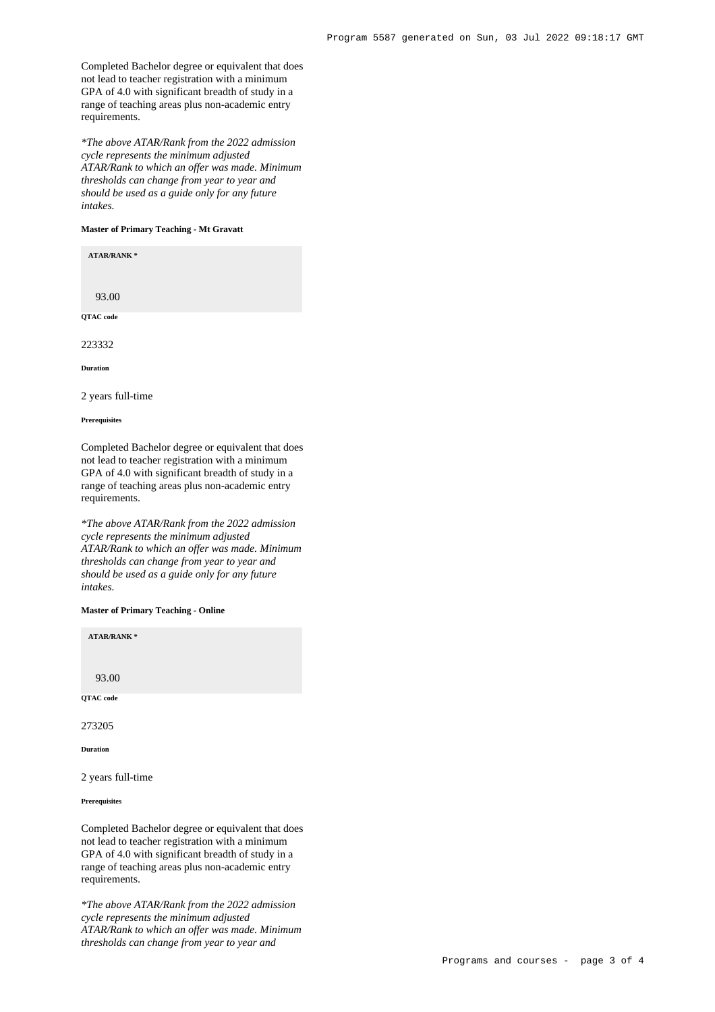Completed Bachelor degree or equivalent that does not lead to teacher registration with a minimum GPA of 4.0 with significant breadth of study in a range of teaching areas plus non-academic entry requirements.

*\*The above ATAR/Rank from the 2022 admission cycle represents the minimum adjusted ATAR/Rank to which an offer was made. Minimum thresholds can change from year to year and should be used as a guide only for any future intakes.*

#### **Master of Primary Teaching - Mt Gravatt**

**ATAR/RANK \***

93.00 **QTAC code**

223332

**Duration**

2 years full-time

**Prerequisites**

Completed Bachelor degree or equivalent that does not lead to teacher registration with a minimum GPA of 4.0 with significant breadth of study in a range of teaching areas plus non-academic entry requirements.

*\*The above ATAR/Rank from the 2022 admission cycle represents the minimum adjusted ATAR/Rank to which an offer was made. Minimum thresholds can change from year to year and should be used as a guide only for any future intakes.*

#### **Master of Primary Teaching - Online**

**ATAR/RANK \***

93.00

**QTAC code**

273205

**Duration**

2 years full-time

**Prerequisites**

Completed Bachelor degree or equivalent that does not lead to teacher registration with a minimum GPA of 4.0 with significant breadth of study in a range of teaching areas plus non-academic entry requirements.

*\*The above ATAR/Rank from the 2022 admission cycle represents the minimum adjusted ATAR/Rank to which an offer was made. Minimum thresholds can change from year to year and*